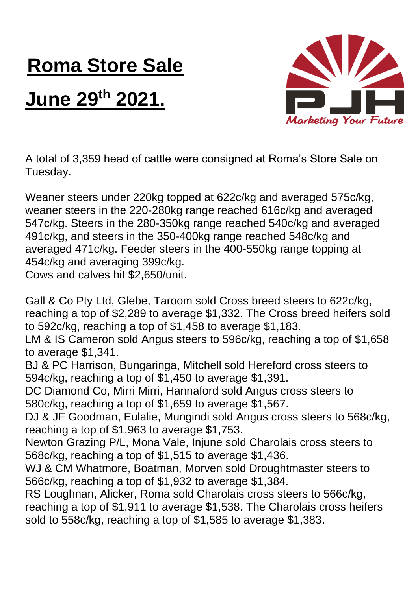## **Roma Store Sale**

## **June 29th 2021.**



A total of 3,359 head of cattle were consigned at Roma's Store Sale on Tuesday.

Weaner steers under 220kg topped at 622c/kg and averaged 575c/kg, weaner steers in the 220-280kg range reached 616c/kg and averaged 547c/kg. Steers in the 280-350kg range reached 540c/kg and averaged 491c/kg, and steers in the 350-400kg range reached 548c/kg and averaged 471c/kg. Feeder steers in the 400-550kg range topping at 454c/kg and averaging 399c/kg.

Cows and calves hit \$2,650/unit.

Gall & Co Pty Ltd, Glebe, Taroom sold Cross breed steers to 622c/kg, reaching a top of \$2,289 to average \$1,332. The Cross breed heifers sold to 592c/kg, reaching a top of \$1,458 to average \$1,183.

LM & IS Cameron sold Angus steers to 596c/kg, reaching a top of \$1,658 to average \$1,341.

BJ & PC Harrison, Bungaringa, Mitchell sold Hereford cross steers to 594c/kg, reaching a top of \$1,450 to average \$1,391.

DC Diamond Co, Mirri Mirri, Hannaford sold Angus cross steers to 580c/kg, reaching a top of \$1,659 to average \$1,567.

DJ & JF Goodman, Eulalie, Mungindi sold Angus cross steers to 568c/kg, reaching a top of \$1,963 to average \$1,753.

Newton Grazing P/L, Mona Vale, Injune sold Charolais cross steers to 568c/kg, reaching a top of \$1,515 to average \$1,436.

WJ & CM Whatmore, Boatman, Morven sold Droughtmaster steers to 566c/kg, reaching a top of \$1,932 to average \$1,384.

RS Loughnan, Alicker, Roma sold Charolais cross steers to 566c/kg, reaching a top of \$1,911 to average \$1,538. The Charolais cross heifers sold to 558c/kg, reaching a top of \$1,585 to average \$1,383.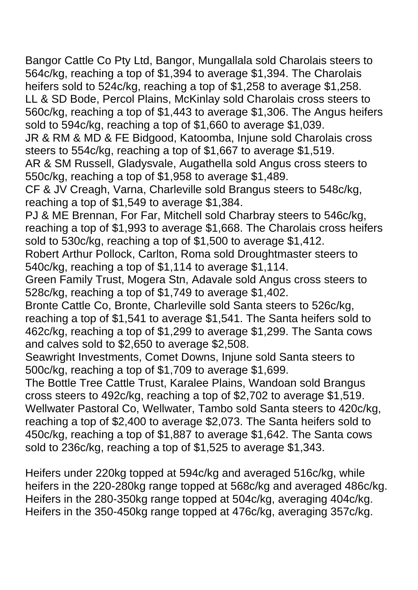Bangor Cattle Co Pty Ltd, Bangor, Mungallala sold Charolais steers to 564c/kg, reaching a top of \$1,394 to average \$1,394. The Charolais heifers sold to 524c/kg, reaching a top of \$1,258 to average \$1,258. LL & SD Bode, Percol Plains, McKinlay sold Charolais cross steers to 560c/kg, reaching a top of \$1,443 to average \$1,306. The Angus heifers sold to 594c/kg, reaching a top of \$1,660 to average \$1,039.

JR & RM & MD & FE Bidgood, Katoomba, Injune sold Charolais cross steers to 554c/kg, reaching a top of \$1,667 to average \$1,519.

AR & SM Russell, Gladysvale, Augathella sold Angus cross steers to 550c/kg, reaching a top of \$1,958 to average \$1,489.

CF & JV Creagh, Varna, Charleville sold Brangus steers to 548c/kg, reaching a top of \$1,549 to average \$1,384.

PJ & ME Brennan, For Far, Mitchell sold Charbray steers to 546c/kg, reaching a top of \$1,993 to average \$1,668. The Charolais cross heifers sold to 530c/kg, reaching a top of \$1,500 to average \$1,412.

Robert Arthur Pollock, Carlton, Roma sold Droughtmaster steers to 540c/kg, reaching a top of \$1,114 to average \$1,114.

Green Family Trust, Mogera Stn, Adavale sold Angus cross steers to 528c/kg, reaching a top of \$1,749 to average \$1,402.

Bronte Cattle Co, Bronte, Charleville sold Santa steers to 526c/kg, reaching a top of \$1,541 to average \$1,541. The Santa heifers sold to 462c/kg, reaching a top of \$1,299 to average \$1,299. The Santa cows and calves sold to \$2,650 to average \$2,508.

Seawright Investments, Comet Downs, Injune sold Santa steers to 500c/kg, reaching a top of \$1,709 to average \$1,699.

The Bottle Tree Cattle Trust, Karalee Plains, Wandoan sold Brangus cross steers to 492c/kg, reaching a top of \$2,702 to average \$1,519. Wellwater Pastoral Co, Wellwater, Tambo sold Santa steers to 420c/kg, reaching a top of \$2,400 to average \$2,073. The Santa heifers sold to 450c/kg, reaching a top of \$1,887 to average \$1,642. The Santa cows sold to 236c/kg, reaching a top of \$1,525 to average \$1,343.

Heifers under 220kg topped at 594c/kg and averaged 516c/kg, while heifers in the 220-280kg range topped at 568c/kg and averaged 486c/kg. Heifers in the 280-350kg range topped at 504c/kg, averaging 404c/kg. Heifers in the 350-450kg range topped at 476c/kg, averaging 357c/kg.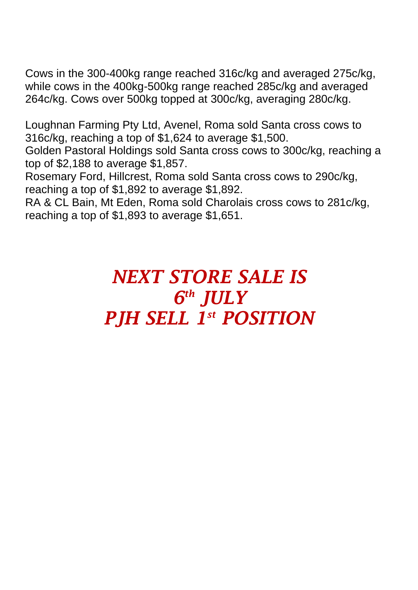Cows in the 300-400kg range reached 316c/kg and averaged 275c/kg, while cows in the 400kg-500kg range reached 285c/kg and averaged 264c/kg. Cows over 500kg topped at 300c/kg, averaging 280c/kg.

Loughnan Farming Pty Ltd, Avenel, Roma sold Santa cross cows to 316c/kg, reaching a top of \$1,624 to average \$1,500.

Golden Pastoral Holdings sold Santa cross cows to 300c/kg, reaching a top of \$2,188 to average \$1,857.

Rosemary Ford, Hillcrest, Roma sold Santa cross cows to 290c/kg, reaching a top of \$1,892 to average \$1,892.

RA & CL Bain, Mt Eden, Roma sold Charolais cross cows to 281c/kg, reaching a top of \$1,893 to average \$1,651.

## *NEXT STORE SALE IS 6 th JULY PJH SELL 1 st POSITION*